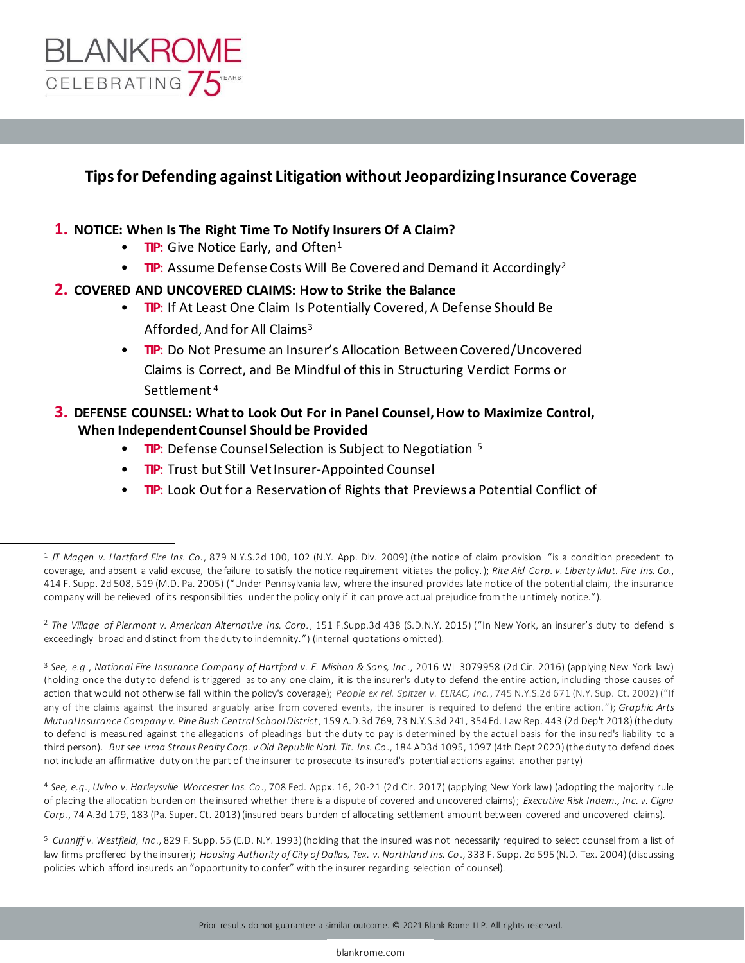

### **Tips for Defending against Litigation without Jeopardizing Insurance Coverage**

### **1. NOTICE: When Is The Right Time To Notify Insurers Of A Claim?**

- **TIP:** Give Notice Early, and Often<sup>1</sup>
- **TIP:** Assume Defense Costs Will Be Covered and Demand it Accordingly<sup>2</sup>

#### **2. COVERED AND UNCOVERED CLAIMS: How to Strike the Balance**

- **TIP:** If At Least One Claim Is Potentially Covered, A Defense Should Be Afforded, And for All Claims<sup>3</sup>
- **TIP**: Do Not Presume an Insurer's Allocation Between Covered/Uncovered Claims is Correct, and Be Mindful of this in Structuring Verdict Forms or Settlement <sup>4</sup>

### **3. DEFENSE COUNSEL: What to Look Out For in Panel Counsel, How to Maximize Control, When Independent Counsel Should be Provided**

- **TIP:** Defense Counsel Selection is Subject to Negotiation <sup>5</sup>
- **TIP**: Trust but Still Vet Insurer-Appointed Counsel
- **TIP**: Look Out for a Reservation of Rights that Previews a Potential Conflict of

2 *The Village of Piermont v. American Alternative Ins. Corp.*, 151 F.Supp.3d 438 (S.D.N.Y. 2015) ("In New York, an insurer's duty to defend is exceedingly broad and distinct from the duty to indemnity.") (internal quotations omitted).

<sup>3</sup> *See, e.g*., *National Fire Insurance Company of Hartford v. E. Mishan & Sons, Inc* ., 2016 WL 3079958 (2d Cir. 2016) (applying New York law) (holding once the duty to defend is triggered as to any one claim, it is the insurer's duty to defend the entire action, including those causes of action that would not otherwise fall within the policy's coverage); *People ex rel. Spitzer v. ELRAC, Inc.*, 745 N.Y.S.2d 671 (N.Y. Sup. Ct. 2002) ("If any of the claims against the insured arguably arise from covered events, the insurer is required to defend the entire action. "); *Graphic Arts Mutual Insurance Company v. Pine Bush Central School District*, 159 A.D.3d 769, 73 N.Y.S.3d 241, 354 Ed. Law Rep. 443 (2d Dep't 2018) (the duty to defend is measured against the allegations of pleadings but the duty to pay is determined by the actual basis for the insu red's liability to a third person). *But see Irma Straus Realty Corp. v Old Republic Natl. Tit. Ins. Co*., 184 AD3d 1095, 1097 (4th Dept 2020) (the duty to defend does not include an affirmative duty on the part of the insurer to prosecute its insured's potential actions against another party)

<sup>4</sup> *See, e.g*., *Uvino v. Harleysville Worcester Ins. Co*., 708 Fed. Appx. 16, 20-21 (2d Cir. 2017) (applying New York law) (adopting the majority rule of placing the allocation burden on the insured whether there is a dispute of covered and uncovered claims); *Executive Risk Indem., Inc. v. Cigna Corp.*, 74 A.3d 179, 183 (Pa. Super. Ct. 2013) (insured bears burden of allocating settlement amount between covered and uncovered claims).

<sup>5</sup> *Cunniff v. Westfield, Inc*., 829 F. Supp. 55 (E.D. N.Y. 1993) (holding that the insured was not necessarily required to select counsel from a list of law firms proffered by the insurer); *Housing Authority of City of Dallas, Tex. v. Northland Ins. Co*., 333 F. Supp. 2d 595 (N.D. Tex. 2004) (discussing policies which afford insureds an "opportunity to confer" with the insurer regarding selection of counsel).

<sup>1</sup> *JT Magen v. Hartford Fire Ins. Co.*, 879 N.Y.S.2d 100, 102 (N.Y. App. Div. 2009) (the notice of claim provision "is a condition precedent to coverage, and absent a valid excuse, the failure to satisfy the notice requirement vitiates the policy.); *Rite Aid Corp. v. Liberty Mut. Fire Ins. Co.*, 414 F. Supp. 2d 508, 519 (M.D. Pa. 2005) ("Under Pennsylvania law, where the insured provides late notice of the potential claim, the insurance company will be relieved of its responsibilities under the policy only if it can prove actual prejudice from the untimely notice.").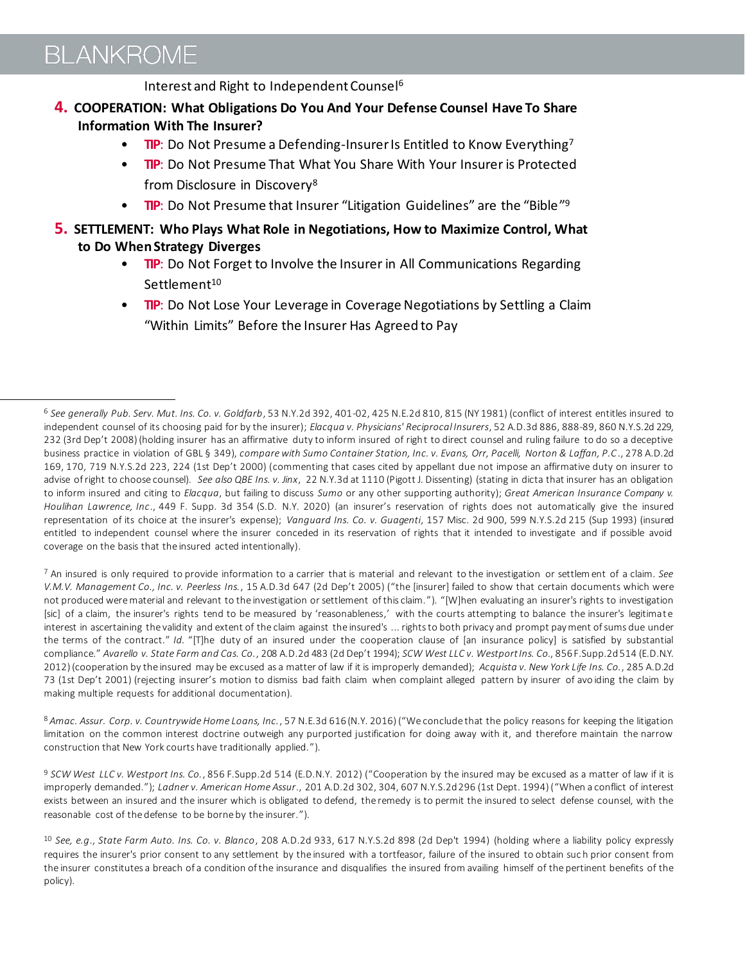## **BLANKROME**

Interest and Right to Independent Counsel<sup>6</sup>

- **4. COOPERATION: What Obligations Do You And Your Defense Counsel Have To Share Information With The Insurer?**
	- **TIP:** Do Not Presume a Defending-Insurer Is Entitled to Know Everything<sup>7</sup>
	- **TIP**: Do Not Presume That What You Share With Your Insurer is Protected from Disclosure in Discovery<sup>8</sup>
	- **TIP:** Do Not Presume that Insurer "Litigation Guidelines" are the "Bible"<sup>9</sup>
- **5. SETTLEMENT: Who Plays What Role in Negotiations, How to Maximize Control, What to Do When Strategy Diverges** 
	- **TIP**: Do Not Forget to Involve the Insurer in All Communications Regarding Settlement<sup>10</sup>
	- **TIP**: Do Not Lose Your Leverage in Coverage Negotiations by Settling a Claim "Within Limits" Before the Insurer Has Agreed to Pay

<sup>7</sup> An insured is only required to provide information to a carrier that is material and relevant to the investigation or settlement of a claim. *See V.M.V. Management Co., Inc. v. Peerless Ins.*, 15 A.D.3d 647 (2d Dep't 2005) ("the [insurer] failed to show that certain documents which were not produced were material and relevant to the investigation or settlement of this claim. "). "[W]hen evaluating an insurer's rights to investigation [sic] of a claim, the insurer's rights tend to be measured by 'reasonableness,' with the courts attempting to balance the insurer's legitimate interest in ascertaining the validity and extent of the claim against the insured's ... rights to both privacy and prompt payment of sums due under the terms of the contract." *Id.* "[T]he duty of an insured under the cooperation clause of [an insurance policy] is satisfied by substantial compliance." *Avarello v. State Farm and Cas. Co.*, 208 A.D.2d 483 (2d Dep't 1994); *SCW West LLC v. Westport Ins. Co.*, 856 F.Supp.2d 514 (E.D.N.Y. 2012) (cooperation by the insured may be excused as a matter of law if it is improperly demanded); *Acquista v. New York Life Ins. Co.*, 285 A.D.2d 73 (1st Dep't 2001) (rejecting insurer's motion to dismiss bad faith claim when complaint alleged pattern by insurer of avo iding the claim by making multiple requests for additional documentation).

<sup>8</sup> *Amac. Assur. Corp. v. Countrywide Home Loans, Inc.*, 57 N.E.3d 616 (N.Y. 2016) ("We conclude that the policy reasons for keeping the litigation limitation on the common interest doctrine outweigh any purported justification for doing away with it, and therefore maintain the narrow construction that New York courts have traditionally applied.").

<sup>9</sup> *SCW West LLC v. Westport Ins. Co.*, 856 F.Supp.2d 514 (E.D.N.Y. 2012) ("Cooperation by the insured may be excused as a matter of law if it is improperly demanded."); *Ladner v. American Home Assur*., 201 A.D.2d 302, 304, 607 N.Y.S.2d 296 (1st Dept. 1994) ("When a conflict of interest exists between an insured and the insurer which is obligated to defend, the remedy is to permit the insured to select defense counsel, with the reasonable cost of the defense to be borne by the insurer.").

<sup>6</sup> *See generally Pub. Serv. Mut. Ins. Co. v. Goldfarb*, 53 N.Y.2d 392, 401-02, 425 N.E.2d 810, 815 (NY 1981) (conflict of interest entitles insured to independent counsel of its choosing paid for by the insurer); *Elacqua v. Physicians' Reciprocal Insurers*, 52 A.D.3d 886, 888-89, 860 N.Y.S.2d 229, 232 (3rd Dep't 2008) (holding insurer has an affirmative duty to inform insured of right to direct counsel and ruling failure to do so a deceptive business practice in violation of GBL § 349), *compare with Sumo Container Station, Inc. v. Evans, Orr, Pacelli, Norton & Laffan, P.C*., 278 A.D.2d 169, 170, 719 N.Y.S.2d 223, 224 (1st Dep't 2000) (commenting that cases cited by appellant due not impose an affirmative duty on insurer to advise of right to choose counsel). *See also QBE Ins. v. Jinx*, 22 N.Y.3d at 1110 (Pigott J. Dissenting) (stating in dicta that insurer has an obligation to inform insured and citing to *Elacqua*, but failing to discuss *Sumo* or any other supporting authority); *Great American Insurance Company v. Houlihan Lawrence, Inc*., 449 F. Supp. 3d 354 (S.D. N.Y. 2020) (an insurer's reservation of rights does not automatically give the insured representation of its choice at the insurer's expense); *Vanguard Ins. Co. v. Guagenti*, 157 Misc. 2d 900, 599 N.Y.S.2d 215 (Sup 1993) (insured entitled to independent counsel where the insurer conceded in its reservation of rights that it intended to investigate and if possible avoid coverage on the basis that the insured acted intentionally).

<sup>10</sup> *See, e.g*., *State Farm Auto. Ins. Co. v. Blanco*, 208 A.D.2d 933, 617 N.Y.S.2d 898 (2d Dep't 1994) (holding where a liability policy expressly requires the insurer's prior consent to any settlement by the insured with a tortfeasor, failure of the insured to obtain suc h prior consent from the insurer constitutes a breach of a condition of the insurance and disqualifies the insured from availing himself of the pertinent benefits of the policy).